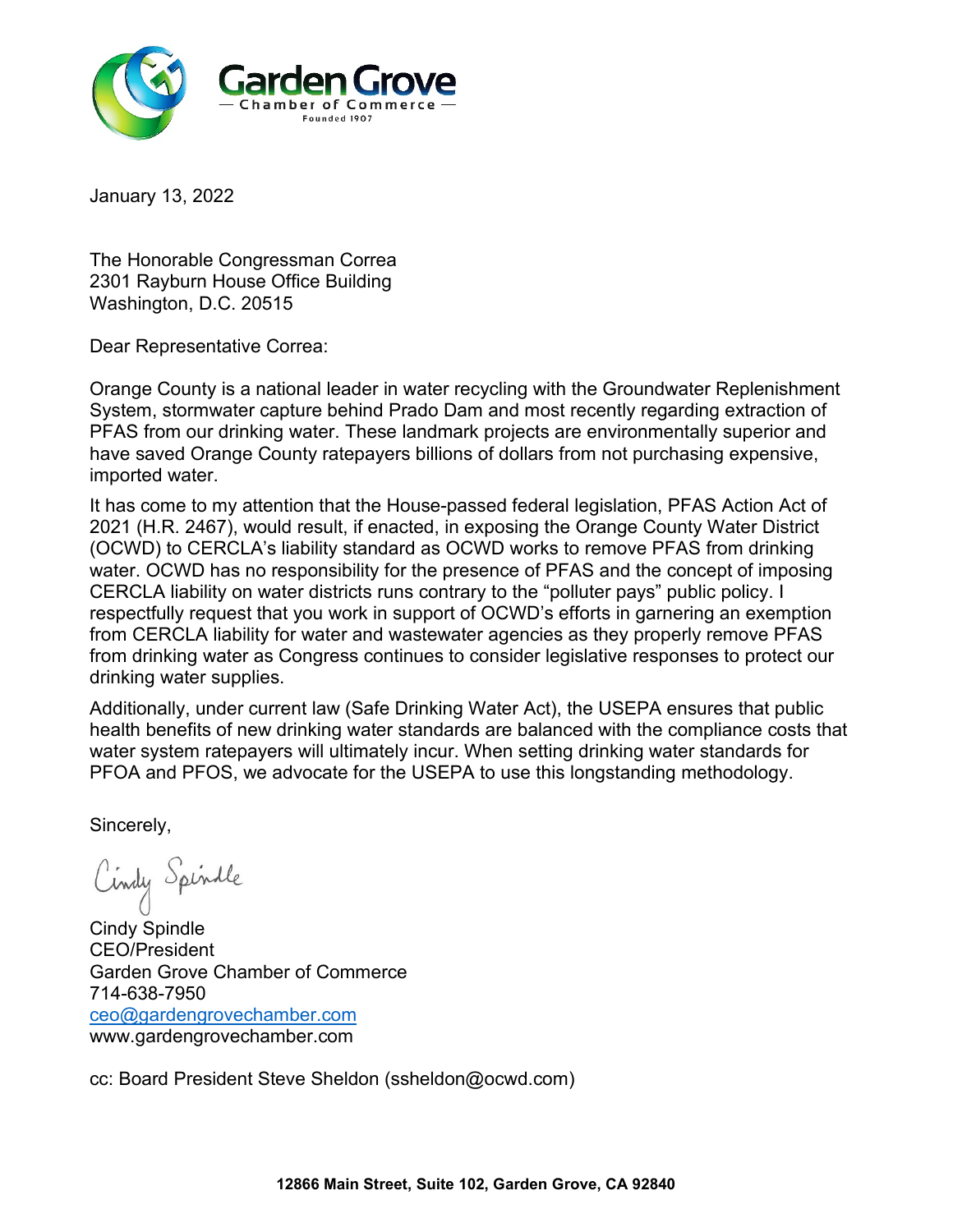

The Honorable Congressman Correa 2301 Rayburn House Office Building Washington, D.C. 20515

Dear Representative Correa:

Orange County is a national leader in water recycling with the Groundwater Replenishment System, stormwater capture behind Prado Dam and most recently regarding extraction of PFAS from our drinking water. These landmark projects are environmentally superior and have saved Orange County ratepayers billions of dollars from not purchasing expensive, imported water.

It has come to my attention that the House-passed federal legislation, PFAS Action Act of 2021 (H.R. 2467), would result, if enacted, in exposing the Orange County Water District (OCWD) to CERCLA's liability standard as OCWD works to remove PFAS from drinking water. OCWD has no responsibility for the presence of PFAS and the concept of imposing CERCLA liability on water districts runs contrary to the "polluter pays" public policy. I respectfully request that you work in support of OCWD's efforts in garnering an exemption from CERCLA liability for water and wastewater agencies as they properly remove PFAS from drinking water as Congress continues to consider legislative responses to protect our drinking water supplies.

Additionally, under current law (Safe Drinking Water Act), the USEPA ensures that public health benefits of new drinking water standards are balanced with the compliance costs that water system ratepayers will ultimately incur. When setting drinking water standards for PFOA and PFOS, we advocate for the USEPA to use this longstanding methodology.

Sincerely,

Cindy Spindle

Cindy Spindle CEO/President Garden Grove Chamber of Commerce 714-638-7950 [ceo@gardengrovechamber.com](mailto:ceo@gardengrovechamber.com) www.gardengrovechamber.com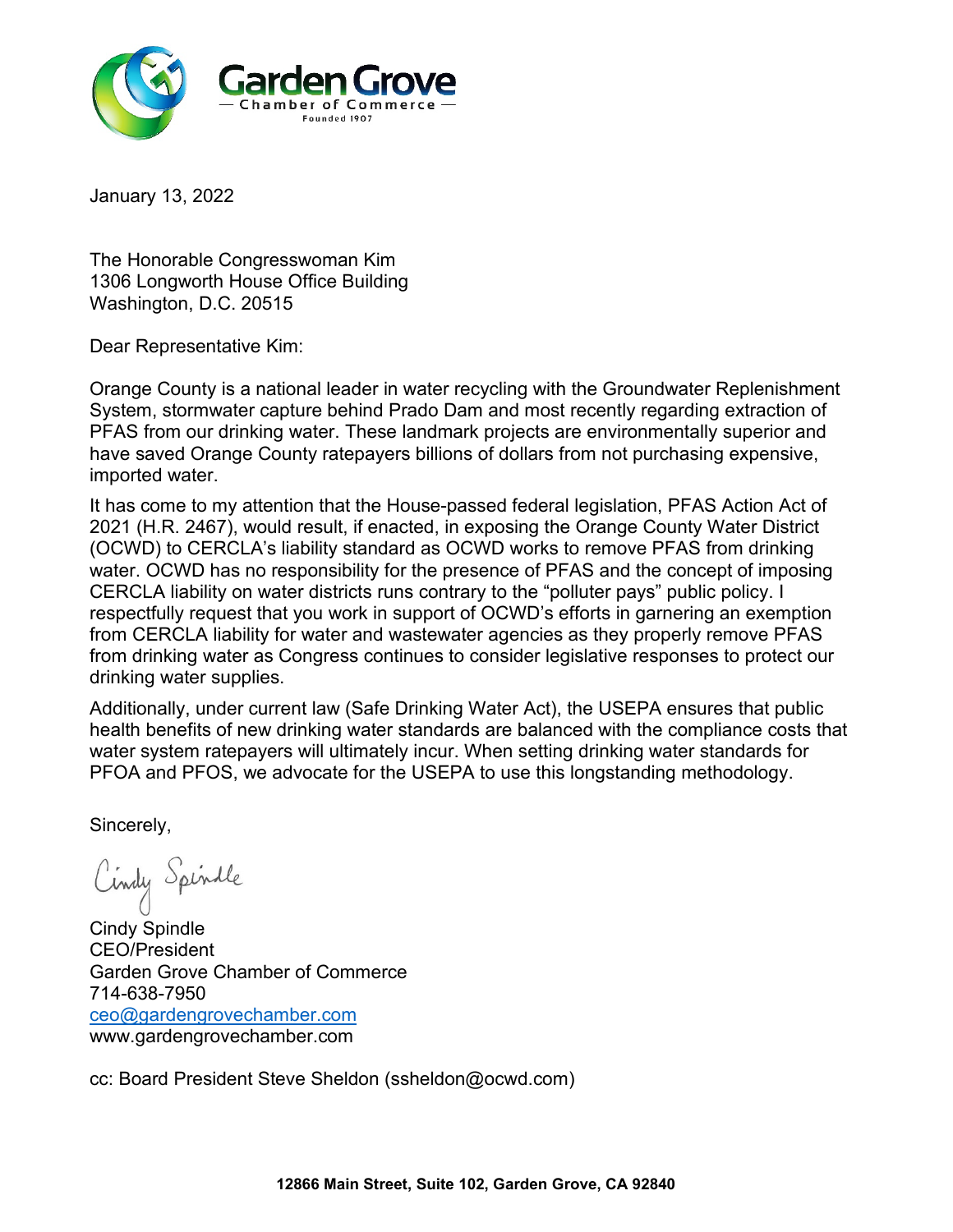

The Honorable Congresswoman Kim 1306 Longworth House Office Building Washington, D.C. 20515

Dear Representative Kim:

Orange County is a national leader in water recycling with the Groundwater Replenishment System, stormwater capture behind Prado Dam and most recently regarding extraction of PFAS from our drinking water. These landmark projects are environmentally superior and have saved Orange County ratepayers billions of dollars from not purchasing expensive, imported water.

It has come to my attention that the House-passed federal legislation, PFAS Action Act of 2021 (H.R. 2467), would result, if enacted, in exposing the Orange County Water District (OCWD) to CERCLA's liability standard as OCWD works to remove PFAS from drinking water. OCWD has no responsibility for the presence of PFAS and the concept of imposing CERCLA liability on water districts runs contrary to the "polluter pays" public policy. I respectfully request that you work in support of OCWD's efforts in garnering an exemption from CERCLA liability for water and wastewater agencies as they properly remove PFAS from drinking water as Congress continues to consider legislative responses to protect our drinking water supplies.

Additionally, under current law (Safe Drinking Water Act), the USEPA ensures that public health benefits of new drinking water standards are balanced with the compliance costs that water system ratepayers will ultimately incur. When setting drinking water standards for PFOA and PFOS, we advocate for the USEPA to use this longstanding methodology.

Sincerely,

Cindy Spindle

Cindy Spindle CEO/President Garden Grove Chamber of Commerce 714-638-7950 [ceo@gardengrovechamber.com](mailto:ceo@gardengrovechamber.com) www.gardengrovechamber.com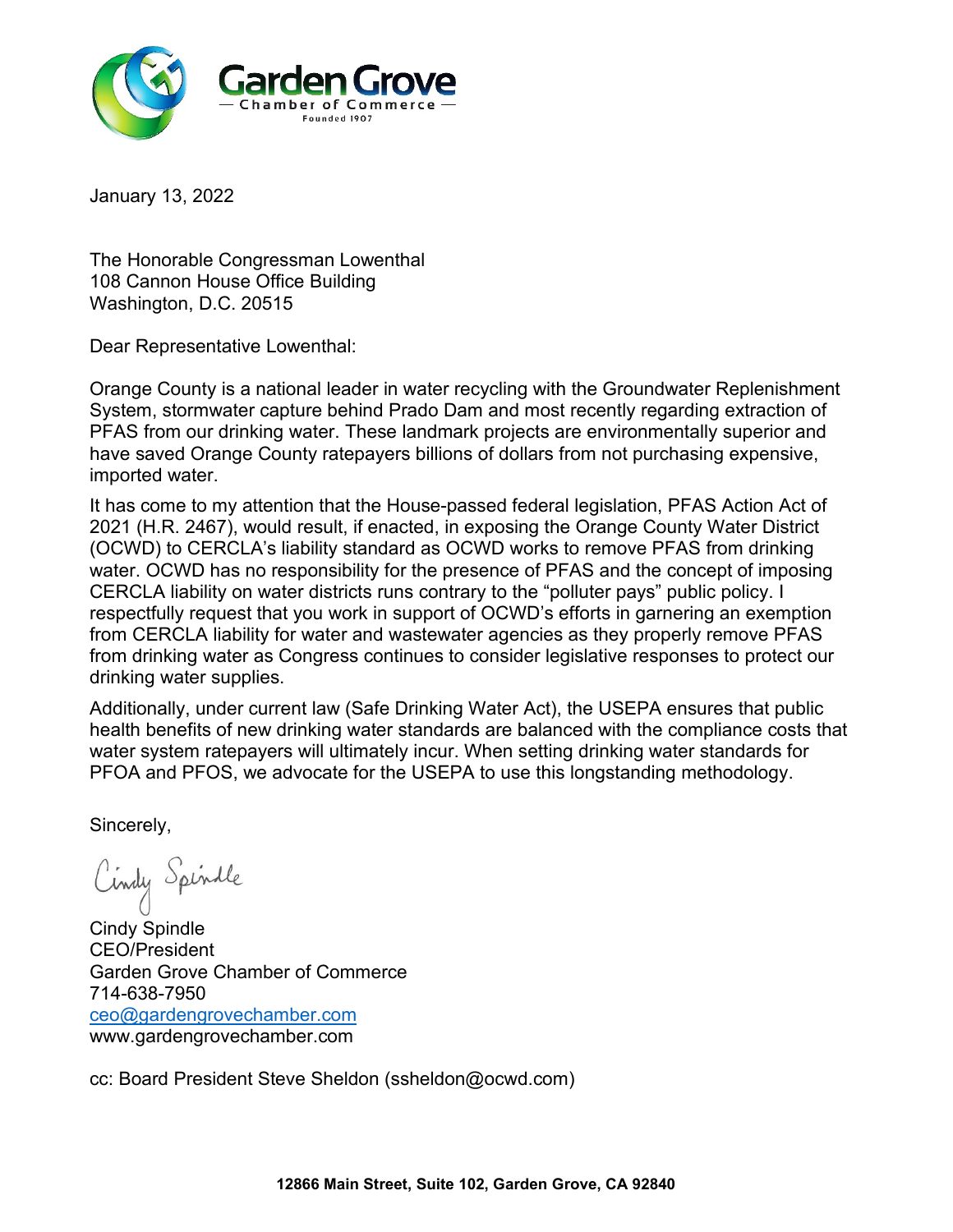

The Honorable Congressman Lowenthal 108 Cannon House Office Building Washington, D.C. 20515

Dear Representative Lowenthal:

Orange County is a national leader in water recycling with the Groundwater Replenishment System, stormwater capture behind Prado Dam and most recently regarding extraction of PFAS from our drinking water. These landmark projects are environmentally superior and have saved Orange County ratepayers billions of dollars from not purchasing expensive, imported water.

It has come to my attention that the House-passed federal legislation, PFAS Action Act of 2021 (H.R. 2467), would result, if enacted, in exposing the Orange County Water District (OCWD) to CERCLA's liability standard as OCWD works to remove PFAS from drinking water. OCWD has no responsibility for the presence of PFAS and the concept of imposing CERCLA liability on water districts runs contrary to the "polluter pays" public policy. I respectfully request that you work in support of OCWD's efforts in garnering an exemption from CERCLA liability for water and wastewater agencies as they properly remove PFAS from drinking water as Congress continues to consider legislative responses to protect our drinking water supplies.

Additionally, under current law (Safe Drinking Water Act), the USEPA ensures that public health benefits of new drinking water standards are balanced with the compliance costs that water system ratepayers will ultimately incur. When setting drinking water standards for PFOA and PFOS, we advocate for the USEPA to use this longstanding methodology.

Sincerely,

Cindy Spindle

Cindy Spindle CEO/President Garden Grove Chamber of Commerce 714-638-7950 [ceo@gardengrovechamber.com](mailto:ceo@gardengrovechamber.com) www.gardengrovechamber.com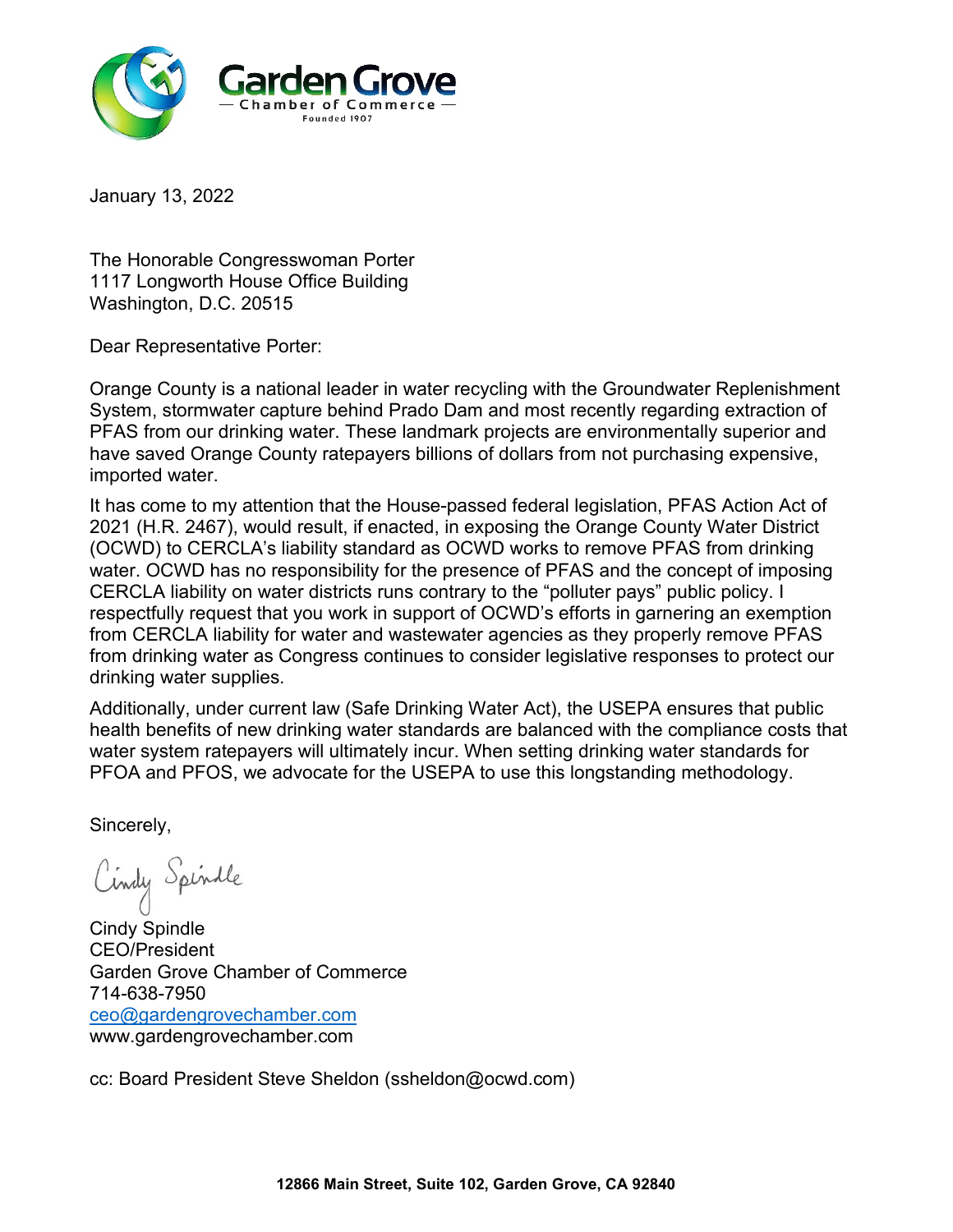

The Honorable Congresswoman Porter 1117 Longworth House Office Building Washington, D.C. 20515

Dear Representative Porter:

Orange County is a national leader in water recycling with the Groundwater Replenishment System, stormwater capture behind Prado Dam and most recently regarding extraction of PFAS from our drinking water. These landmark projects are environmentally superior and have saved Orange County ratepayers billions of dollars from not purchasing expensive, imported water.

It has come to my attention that the House-passed federal legislation, PFAS Action Act of 2021 (H.R. 2467), would result, if enacted, in exposing the Orange County Water District (OCWD) to CERCLA's liability standard as OCWD works to remove PFAS from drinking water. OCWD has no responsibility for the presence of PFAS and the concept of imposing CERCLA liability on water districts runs contrary to the "polluter pays" public policy. I respectfully request that you work in support of OCWD's efforts in garnering an exemption from CERCLA liability for water and wastewater agencies as they properly remove PFAS from drinking water as Congress continues to consider legislative responses to protect our drinking water supplies.

Additionally, under current law (Safe Drinking Water Act), the USEPA ensures that public health benefits of new drinking water standards are balanced with the compliance costs that water system ratepayers will ultimately incur. When setting drinking water standards for PFOA and PFOS, we advocate for the USEPA to use this longstanding methodology.

Sincerely,

Cindy Spindle

Cindy Spindle CEO/President Garden Grove Chamber of Commerce 714-638-7950 [ceo@gardengrovechamber.com](mailto:ceo@gardengrovechamber.com) www.gardengrovechamber.com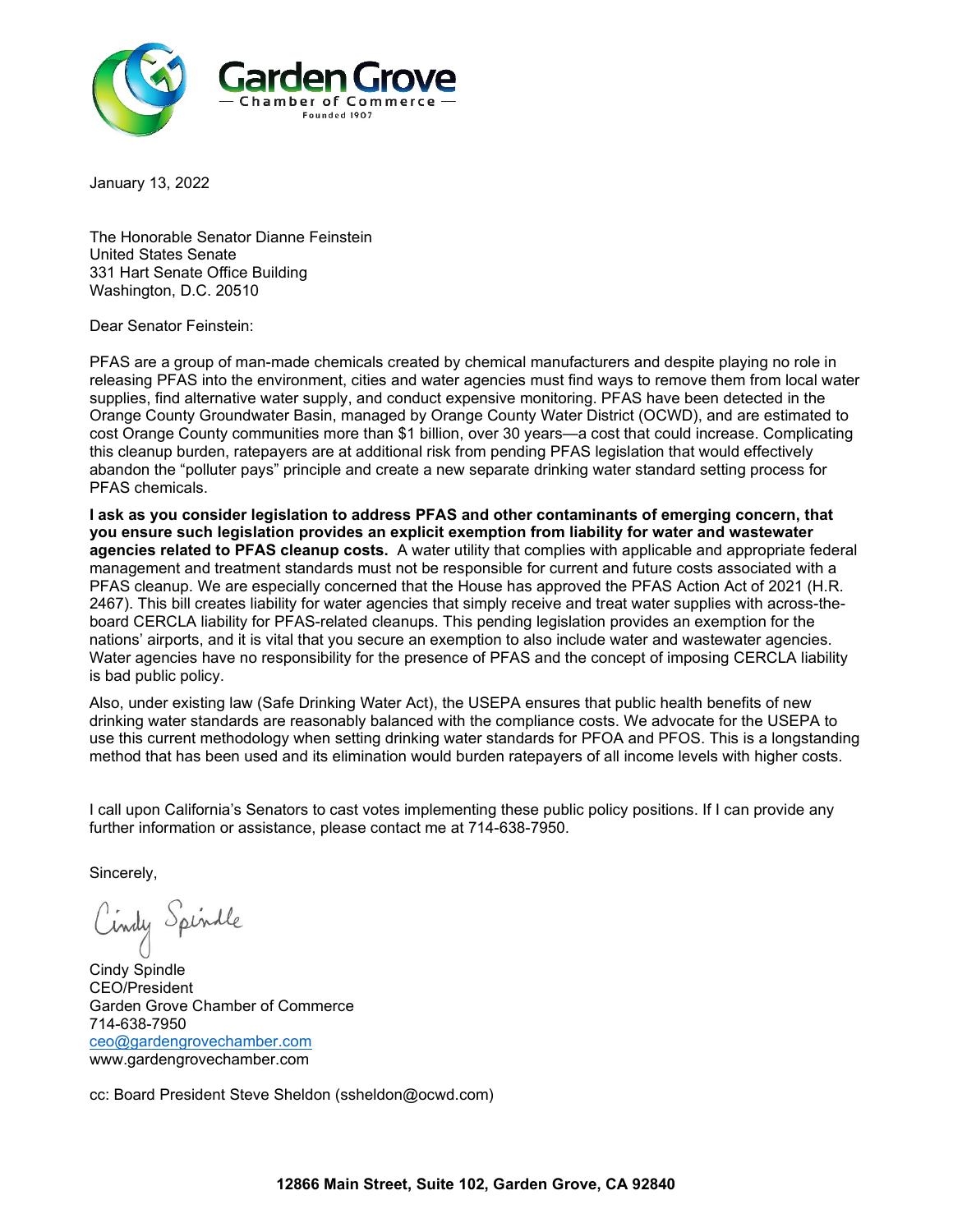

The Honorable Senator Dianne Feinstein United States Senate 331 Hart Senate Office Building Washington, D.C. 20510

Dear Senator Feinstein:

PFAS are a group of man-made chemicals created by chemical manufacturers and despite playing no role in releasing PFAS into the environment, cities and water agencies must find ways to remove them from local water supplies, find alternative water supply, and conduct expensive monitoring. PFAS have been detected in the Orange County Groundwater Basin, managed by Orange County Water District (OCWD), and are estimated to cost Orange County communities more than \$1 billion, over 30 years—a cost that could increase. Complicating this cleanup burden, ratepayers are at additional risk from pending PFAS legislation that would effectively abandon the "polluter pays" principle and create a new separate drinking water standard setting process for PFAS chemicals.

**I ask as you consider legislation to address PFAS and other contaminants of emerging concern, that you ensure such legislation provides an explicit exemption from liability for water and wastewater agencies related to PFAS cleanup costs.** A water utility that complies with applicable and appropriate federal management and treatment standards must not be responsible for current and future costs associated with a PFAS cleanup. We are especially concerned that the House has approved the PFAS Action Act of 2021 (H.R. 2467). This bill creates liability for water agencies that simply receive and treat water supplies with across-theboard CERCLA liability for PFAS-related cleanups. This pending legislation provides an exemption for the nations' airports, and it is vital that you secure an exemption to also include water and wastewater agencies. Water agencies have no responsibility for the presence of PFAS and the concept of imposing CERCLA liability is bad public policy.

Also, under existing law (Safe Drinking Water Act), the USEPA ensures that public health benefits of new drinking water standards are reasonably balanced with the compliance costs. We advocate for the USEPA to use this current methodology when setting drinking water standards for PFOA and PFOS. This is a longstanding method that has been used and its elimination would burden ratepayers of all income levels with higher costs.

I call upon California's Senators to cast votes implementing these public policy positions. If I can provide any further information or assistance, please contact me at 714-638-7950.

Sincerely,

Cindy Spindle

Cindy Spindle CEO/President Garden Grove Chamber of Commerce 714-638-7950 [ceo@gardengrovechamber.com](mailto:ceo@gardengrovechamber.com) www.gardengrovechamber.com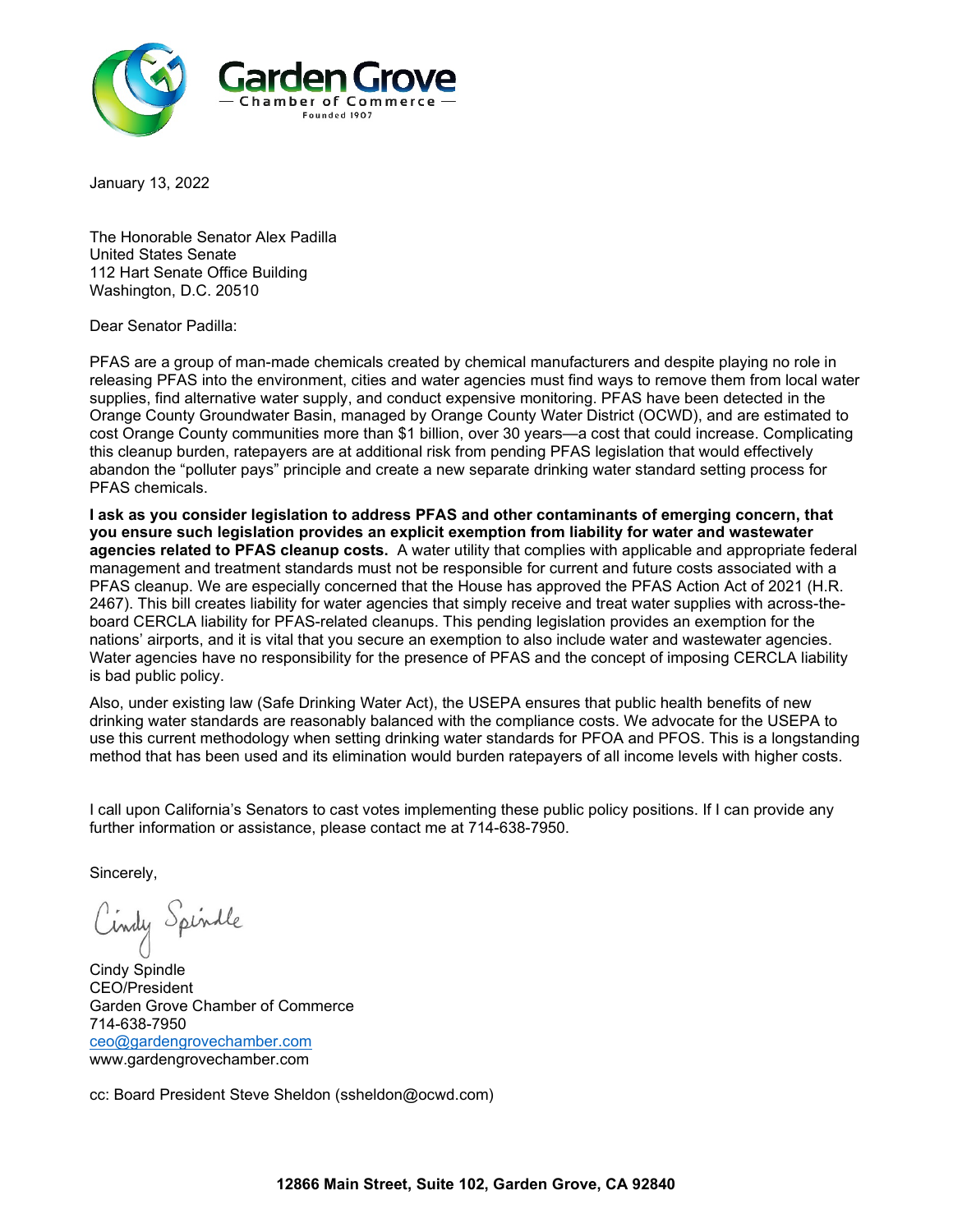

The Honorable Senator Alex Padilla United States Senate 112 Hart Senate Office Building Washington, D.C. 20510

Dear Senator Padilla:

PFAS are a group of man-made chemicals created by chemical manufacturers and despite playing no role in releasing PFAS into the environment, cities and water agencies must find ways to remove them from local water supplies, find alternative water supply, and conduct expensive monitoring. PFAS have been detected in the Orange County Groundwater Basin, managed by Orange County Water District (OCWD), and are estimated to cost Orange County communities more than \$1 billion, over 30 years—a cost that could increase. Complicating this cleanup burden, ratepayers are at additional risk from pending PFAS legislation that would effectively abandon the "polluter pays" principle and create a new separate drinking water standard setting process for PFAS chemicals.

**I ask as you consider legislation to address PFAS and other contaminants of emerging concern, that you ensure such legislation provides an explicit exemption from liability for water and wastewater agencies related to PFAS cleanup costs.** A water utility that complies with applicable and appropriate federal management and treatment standards must not be responsible for current and future costs associated with a PFAS cleanup. We are especially concerned that the House has approved the PFAS Action Act of 2021 (H.R. 2467). This bill creates liability for water agencies that simply receive and treat water supplies with across-theboard CERCLA liability for PFAS-related cleanups. This pending legislation provides an exemption for the nations' airports, and it is vital that you secure an exemption to also include water and wastewater agencies. Water agencies have no responsibility for the presence of PFAS and the concept of imposing CERCLA liability is bad public policy.

Also, under existing law (Safe Drinking Water Act), the USEPA ensures that public health benefits of new drinking water standards are reasonably balanced with the compliance costs. We advocate for the USEPA to use this current methodology when setting drinking water standards for PFOA and PFOS. This is a longstanding method that has been used and its elimination would burden ratepayers of all income levels with higher costs.

I call upon California's Senators to cast votes implementing these public policy positions. If I can provide any further information or assistance, please contact me at 714-638-7950.

Sincerely,

Cindy Spindle

Cindy Spindle CEO/President Garden Grove Chamber of Commerce 714-638-7950 [ceo@gardengrovechamber.com](mailto:ceo@gardengrovechamber.com) www.gardengrovechamber.com